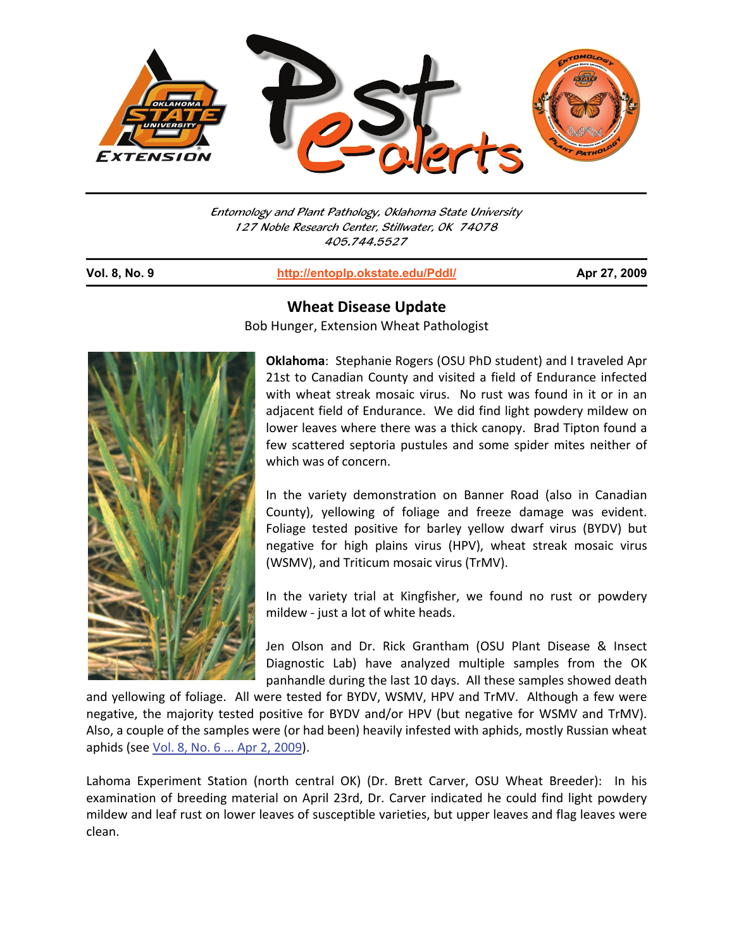

Entomology and Plant Pathology, Oklahoma State University 127 Noble Research Center, Stillwater, OK 74078 405.744.5527

j

**Vol. 8, No. 9 http://entoplp.okstate.edu/Pddl/ Apr 27, 2009**



**Wheat Disease Update** 

Bob Hunger, Extension Wheat Pathologist

**Oklahoma**: Stephanie Rogers (OSU PhD student) and I traveled Apr 21st to Canadian County and visited a field of Endurance infected with wheat streak mosaic virus. No rust was found in it or in an adjacent field of Endurance. We did find light powdery mildew on lower leaves where there was a thick canopy. Brad Tipton found a few scattered septoria pustules and some spider mites neither of which was of concern.

In the variety demonstration on Banner Road (also in Canadian County), yellowing of foliage and freeze damage was evident. Foliage tested positive for barley yellow dwarf virus (BYDV) but negative for high plains virus (HPV), wheat streak mosaic virus (WSMV), and Triticum mosaic virus (TrMV).

In the variety trial at Kingfisher, we found no rust or powdery mildew - just a lot of white heads.

Jen Olson and Dr. Rick Grantham (OSU Plant Disease & Insect Diagnostic Lab) have analyzed multiple samples from the OK panhandle during the last 10 days. All these samples showed death

and yellowing of foliage. All were tested for BYDV, WSMV, HPV and TrMV. Although a few were negative, the majority tested positive for BYDV and/or HPV (but negative for WSMV and TrMV). Also, a couple of the samples were (or had been) heavily infested with aphids, mostly Russian wheat aphids (see Vol. 8, No. 6 ... Apr 2, 2009).

Lahoma Experiment Station (north central OK) (Dr. Brett Carver, OSU Wheat Breeder): In his examination of breeding material on April 23rd, Dr. Carver indicated he could find light powdery mildew and leaf rust on lower leaves of susceptible varieties, but upper leaves and flag leaves were clean.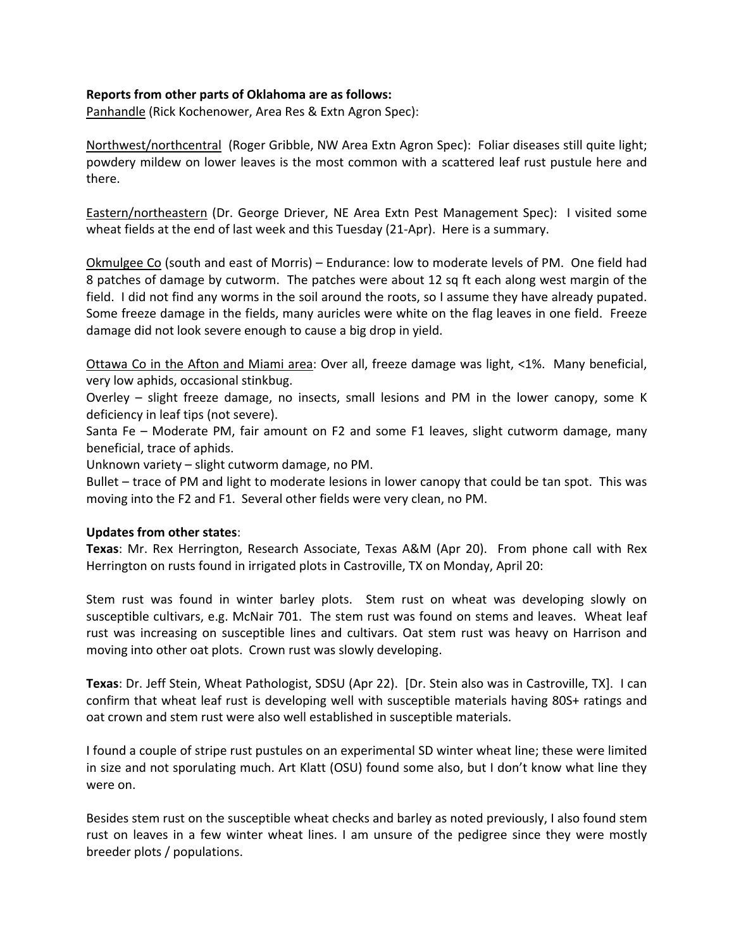## **Reports from other parts of Oklahoma are as follows:**

Panhandle (Rick Kochenower, Area Res & Extn Agron Spec):

Northwest/northcentral (Roger Gribble, NW Area Extn Agron Spec): Foliar diseases still quite light; powdery mildew on lower leaves is the most common with a scattered leaf rust pustule here and there.

Eastern/northeastern (Dr. George Driever, NE Area Extn Pest Management Spec): I visited some wheat fields at the end of last week and this Tuesday (21-Apr). Here is a summary.

Okmulgee Co (south and east of Morris) – Endurance: low to moderate levels of PM. One field had 8 patches of damage by cutworm. The patches were about 12 sq ft each along west margin of the field. I did not find any worms in the soil around the roots, so I assume they have already pupated. Some freeze damage in the fields, many auricles were white on the flag leaves in one field. Freeze damage did not look severe enough to cause a big drop in yield.

Ottawa Co in the Afton and Miami area: Over all, freeze damage was light, <1%. Many beneficial, very low aphids, occasional stinkbug.

Overley – slight freeze damage, no insects, small lesions and PM in the lower canopy, some K deficiency in leaf tips (not severe).

Santa Fe – Moderate PM, fair amount on F2 and some F1 leaves, slight cutworm damage, many beneficial, trace of aphids.

Unknown variety – slight cutworm damage, no PM.

Bullet – trace of PM and light to moderate lesions in lower canopy that could be tan spot. This was moving into the F2 and F1. Several other fields were very clean, no PM.

## **Updates from other states**:

**Texas**: Mr. Rex Herrington, Research Associate, Texas A&M (Apr 20). From phone call with Rex Herrington on rusts found in irrigated plots in Castroville, TX on Monday, April 20:

Stem rust was found in winter barley plots. Stem rust on wheat was developing slowly on susceptible cultivars, e.g. McNair 701. The stem rust was found on stems and leaves. Wheat leaf rust was increasing on susceptible lines and cultivars. Oat stem rust was heavy on Harrison and moving into other oat plots. Crown rust was slowly developing.

**Texas**: Dr. Jeff Stein, Wheat Pathologist, SDSU (Apr 22). [Dr. Stein also was in Castroville, TX]. I can confirm that wheat leaf rust is developing well with susceptible materials having 80S+ ratings and oat crown and stem rust were also well established in susceptible materials.

I found a couple of stripe rust pustules on an experimental SD winter wheat line; these were limited in size and not sporulating much. Art Klatt (OSU) found some also, but I don't know what line they were on.

Besides stem rust on the susceptible wheat checks and barley as noted previously, I also found stem rust on leaves in a few winter wheat lines. I am unsure of the pedigree since they were mostly breeder plots / populations.